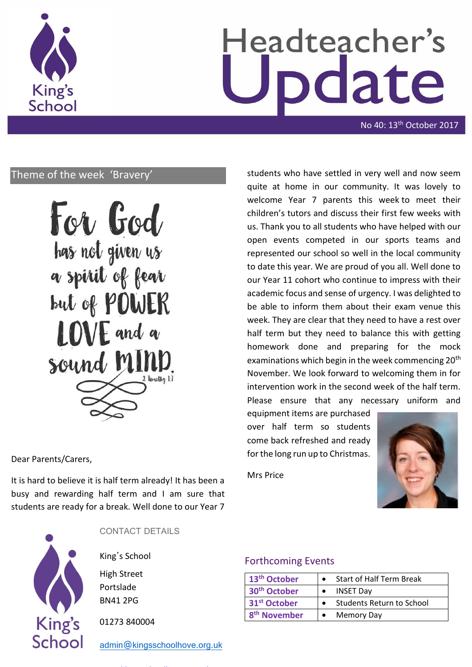

# Headteacher's date

No 40: 13th October 2017

## Theme of the week 'Bravery'

For God has not given us a spirit of fear but of POWER LOVE and a sound M 2 Timothy 17

Dear Parents/Carers,

It is hard to believe it is half term already! It has been a busy and rewarding half term and I am sure that students are ready for a break. Well done to our Year 7



CONTACT DETAILS

King's School

High Street Portslade BN41 2PG

01273 840004

[admin@kingsschoolhove.org.uk](mailto:admin@kingsschoolhove.org.uk)

students who have settled in very well and now seem quite at home in our community. It was lovely to welcome Year 7 parents this week to meet their children's tutors and discuss their first few weeks with us. Thank you to all students who have helped with our open events competed in our sports teams and represented our school so well in the local community to date this year. We are proud of you all. Well done to our Year 11 cohort who continue to impress with their academic focus and sense of urgency. I was delighted to be able to inform them about their exam venue this week. They are clear that they need to have a rest over half term but they need to balance this with getting homework done and preparing for the mock examinations which begin in the week commencing 20<sup>th</sup> November. We look forward to welcoming them in for intervention work in the second week of the half term. Please ensure that any necessary uniform and

equipment items are purchased over half term so students come back refreshed and ready for the long run up to Christmas.

Mrs Price



## Forthcoming Events

| 13 <sup>th</sup> October | <b>Start of Half Term Break</b> |
|--------------------------|---------------------------------|
| 30 <sup>th</sup> October | <b>INSET Dav</b>                |
| 31 <sup>st</sup> October | Students Return to School       |
| 8 <sup>th</sup> November | <b>Memory Day</b>               |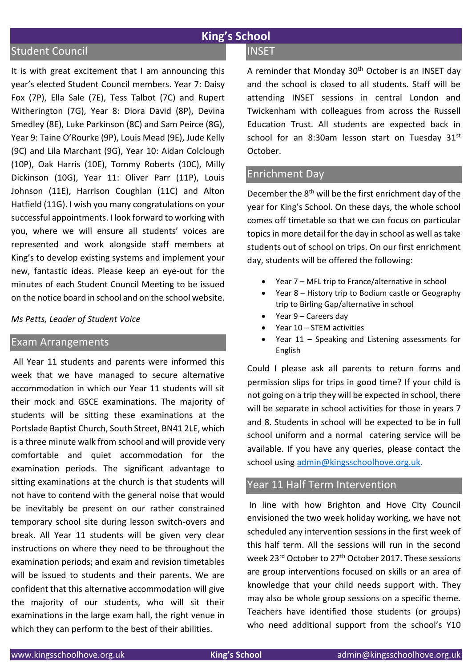# **King's School**

## Student Council

It is with great excitement that I am announcing this year's elected Student Council members. Year 7: Daisy Fox (7P), Ella Sale (7E), Tess Talbot (7C) and Rupert Witherington (7G), Year 8: Diora David (8P), Devina Smedley (8E), Luke Parkinson (8C) and Sam Peirce (8G), Year 9: Taine O'Rourke (9P), Louis Mead (9E), Jude Kelly (9C) and Lila Marchant (9G), Year 10: Aidan Colclough (10P), Oak Harris (10E), Tommy Roberts (10C), Milly Dickinson (10G), Year 11: Oliver Parr (11P), Louis Johnson (11E), Harrison Coughlan (11C) and Alton Hatfield (11G). I wish you many congratulations on your successful appointments. I look forward to working with you, where we will ensure all students' voices are represented and work alongside staff members at King's to develop existing systems and implement your new, fantastic ideas. Please keep an eye-out for the minutes of each Student Council Meeting to be issued on the notice board in school and on the school website.

#### *Ms Petts, Leader of Student Voice*

## Exam Arrangements

All Year 11 students and parents were informed this week that we have managed to secure alternative accommodation in which our Year 11 students will sit their mock and GSCE examinations. The majority of students will be sitting these examinations at the Portslade Baptist Church, South Street, BN41 2LE, which is a three minute walk from school and will provide very comfortable and quiet accommodation for the examination periods. The significant advantage to sitting examinations at the church is that students will not have to contend with the general noise that would be inevitably be present on our rather constrained temporary school site during lesson switch-overs and break. All Year 11 students will be given very clear instructions on where they need to be throughout the examination periods; and exam and revision timetables will be issued to students and their parents. We are confident that this alternative accommodation will give the majority of our students, who will sit their examinations in the large exam hall, the right venue in which they can perform to the best of their abilities.

## **INSET**

A reminder that Monday 30<sup>th</sup> October is an INSET day and the school is closed to all students. Staff will be attending INSET sessions in central London and Twickenham with colleagues from across the Russell Education Trust. All students are expected back in school for an 8:30am lesson start on Tuesday 31st October.

#### Enrichment Day

December the 8th will be the first enrichment day of the year for King's School. On these days, the whole school comes off timetable so that we can focus on particular topicsin more detail for the day in school as well as take students out of school on trips. On our first enrichment day, students will be offered the following:

- Year 7 MFL trip to France/alternative in school
- Year 8 History trip to Bodium castle or Geography trip to Birling Gap/alternative in school
- Year 9 Careers day
- Year 10 STEM activities
- Year 11 Speaking and Listening assessments for English

Could I please ask all parents to return forms and permission slips for trips in good time? If your child is not going on a trip they will be expected in school, there will be separate in school activities for those in years 7 and 8. Students in school will be expected to be in full school uniform and a normal catering service will be available. If you have any queries, please contact the school using [admin@kingsschoolhove.org.uk.](mailto:admin@kingsschoolhove.org.uk)

## Year 11 Half Term Intervention

In line with how Brighton and Hove City Council envisioned the two week holiday working, we have not scheduled any intervention sessions in the first week of this half term. All the sessions will run in the second week 23rd October to 27th October 2017. These sessions are group interventions focused on skills or an area of knowledge that your child needs support with. They may also be whole group sessions on a specific theme. Teachers have identified those students (or groups) who need additional support from the school's Y10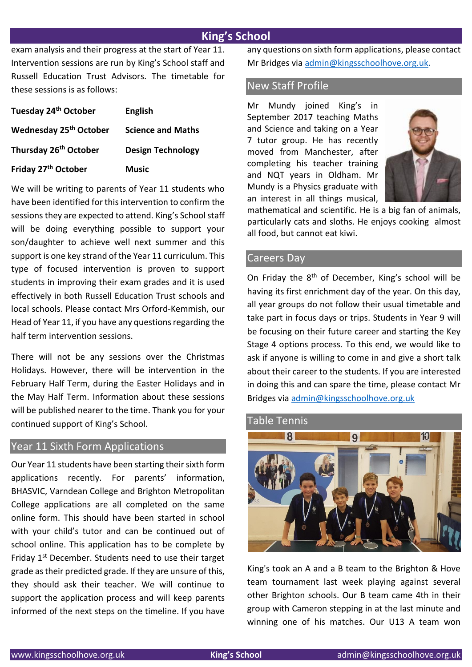## **King's School**

exam analysis and their progress at the start of Year 11. Intervention sessions are run by King's School staff and Russell Education Trust Advisors. The timetable for these sessions is as follows:

| Tuesday 24 <sup>th</sup> October   | <b>English</b>           |
|------------------------------------|--------------------------|
| Wednesday 25 <sup>th</sup> October | <b>Science and Maths</b> |
| Thursday 26 <sup>th</sup> October  | <b>Design Technology</b> |
| Friday 27 <sup>th</sup> October    | <b>Music</b>             |

We will be writing to parents of Year 11 students who have been identified for this intervention to confirm the sessions they are expected to attend. King's School staff will be doing everything possible to support your son/daughter to achieve well next summer and this support is one key strand of the Year 11 curriculum. This type of focused intervention is proven to support students in improving their exam grades and it is used effectively in both Russell Education Trust schools and local schools. Please contact Mrs Orford-Kemmish, our Head of Year 11, if you have any questions regarding the half term intervention sessions.

There will not be any sessions over the Christmas Holidays. However, there will be intervention in the February Half Term, during the Easter Holidays and in the May Half Term. Information about these sessions will be published nearer to the time. Thank you for your continued support of King's School.

## Year 11 Sixth Form Applications

Our Year 11 students have been starting their sixth form applications recently. For parents' information, BHASVIC, Varndean College and Brighton Metropolitan College applications are all completed on the same online form. This should have been started in school with your child's tutor and can be continued out of school online. This application has to be complete by Friday 1<sup>st</sup> December. Students need to use their target grade as their predicted grade. If they are unsure of this, they should ask their teacher. We will continue to support the application process and will keep parents informed of the next steps on the timeline. If you have any questions on sixth form applications, please contact Mr Bridges via [admin@kingsschoolhove.org.uk.](mailto:admin@kingsschoolhove.org.uk)

## New Staff Profile

Mr Mundy joined King's in September 2017 teaching Maths and Science and taking on a Year 7 tutor group. He has recently moved from Manchester, after completing his teacher training and NQT years in Oldham. Mr Mundy is a Physics graduate with an interest in all things musical,



mathematical and scientific. He is a big fan of animals, particularly cats and sloths. He enjoys cooking almost all food, but cannot eat kiwi.

## Careers Day

On Friday the 8<sup>th</sup> of December, King's school will be having its first enrichment day of the year. On this day, all year groups do not follow their usual timetable and take part in focus days or trips. Students in Year 9 will be focusing on their future career and starting the Key Stage 4 options process. To this end, we would like to ask if anyone is willing to come in and give a short talk about their career to the students. If you are interested in doing this and can spare the time, please contact Mr Bridges via [admin@kingsschoolhove.org.uk](mailto:admin@kingsschoolhove.org.uk)

#### Table Tennis



King's took an A and a B team to the Brighton & Hove team tournament last week playing against several other Brighton schools. Our B team came 4th in their group with Cameron stepping in at the last minute and winning one of his matches. Our U13 A team won